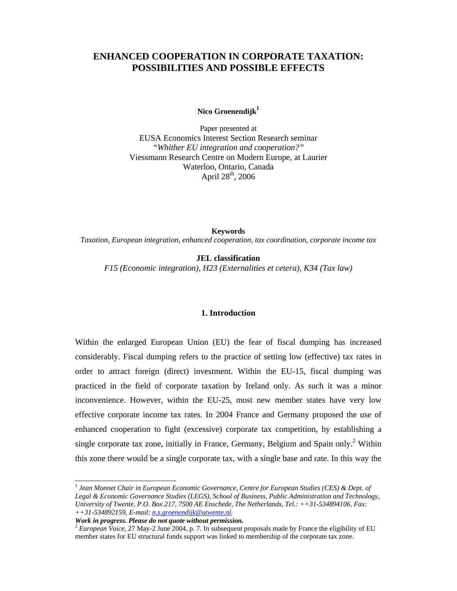# **ENHANCED COOPERATION IN CORPORATE TAXATION: POSSIBILITIES AND POSSIBLE EFFECTS**

Nico Groenendijk<sup>1</sup>

Paper presented at EUSA Economics Interest Section Research seminar *"Whither EU integration and cooperation?"*  Viessmann Research Centre on Modern Europe, at Laurier Waterloo, Ontario, Canada April  $28^{th}$ , 2006

**Keywords** *Taxation, European integration, enhanced cooperation, tax coordination, corporate income tax* 

**JEL classification** *F15 (Economic integration), H23 (Externalities et cetera), K34 (Tax law)* 

### **1. Introduction**

Within the enlarged European Union (EU) the fear of fiscal dumping has increased considerably. Fiscal dumping refers to the practice of setting low (effective) tax rates in order to attract foreign (direct) investment. Within the EU-15, fiscal dumping was practiced in the field of corporate taxation by Ireland only. As such it was a minor inconvenience. However, within the EU-25, most new member states have very low effective corporate income tax rates. In 2004 France and Germany proposed the use of enhanced cooperation to fight (excessive) corporate tax competition, by establishing a single corporate tax zone, initially in France, Germany, Belgium and Spain only.<sup>2</sup> Within this zone there would be a single corporate tax, with a single base and rate. In this way the

*Work in progress. Please do not quote without permission.* 

l

<sup>1</sup> *Jean Monnet Chair in European Economic Governance, Centre for European Studies (CES) & Dept. of Legal & Economic Governance Studies (LEGS), School of Business, Public Administration and Technology, University of Twente, P.O. Box 217, 7500 AE Enschede, The Netherlands, Tel.: ++31-534894106, Fax: ++31-534892159, E-mail: n.s.groenendijk@utwente.nl.* 

<sup>2</sup> *European Voice*, 27 May-2 June 2004, p. 7. In subsequent proposals made by France the eligibility of EU member states for EU structural funds support was linked to membership of the corporate tax zone.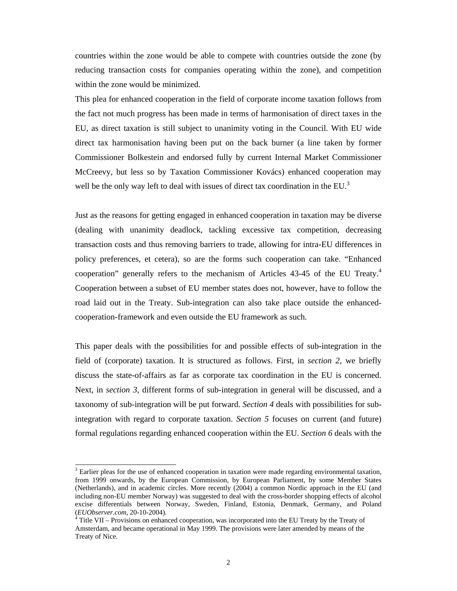countries within the zone would be able to compete with countries outside the zone (by reducing transaction costs for companies operating within the zone), and competition within the zone would be minimized.

This plea for enhanced cooperation in the field of corporate income taxation follows from the fact not much progress has been made in terms of harmonisation of direct taxes in the EU, as direct taxation is still subject to unanimity voting in the Council. With EU wide direct tax harmonisation having been put on the back burner (a line taken by former Commissioner Bolkestein and endorsed fully by current Internal Market Commissioner McCreevy, but less so by Taxation Commissioner Kovács) enhanced cooperation may well be the only way left to deal with issues of direct tax coordination in the EU.<sup>3</sup>

Just as the reasons for getting engaged in enhanced cooperation in taxation may be diverse (dealing with unanimity deadlock, tackling excessive tax competition, decreasing transaction costs and thus removing barriers to trade, allowing for intra-EU differences in policy preferences, et cetera), so are the forms such cooperation can take. "Enhanced cooperation" generally refers to the mechanism of Articles 43-45 of the EU Treaty.4 Cooperation between a subset of EU member states does not, however, have to follow the road laid out in the Treaty. Sub-integration can also take place outside the enhancedcooperation-framework and even outside the EU framework as such.

This paper deals with the possibilities for and possible effects of sub-integration in the field of (corporate) taxation. It is structured as follows. First, in *section 2*, we briefly discuss the state-of-affairs as far as corporate tax coordination in the EU is concerned. Next, in *section 3*, different forms of sub-integration in general will be discussed, and a taxonomy of sub-integration will be put forward. *Section 4* deals with possibilities for subintegration with regard to corporate taxation. *Section 5* focuses on current (and future) formal regulations regarding enhanced cooperation within the EU. *Section 6* deals with the

l

 $3$  Earlier pleas for the use of enhanced cooperation in taxation were made regarding environmental taxation, from 1999 onwards, by the European Commission, by European Parliament, by some Member States (Netherlands), and in academic circles. More recently (2004) a common Nordic approach in the EU (and including non-EU member Norway) was suggested to deal with the cross-border shopping effects of alcohol excise differentials between Norway, Sweden, Finland, Estonia, Denmark, Germany, and Poland (*EUObserver.com*, 20-10-2004). <sup>4</sup>

Title VII – Provisions on enhanced cooperation, was incorporated into the EU Treaty by the Treaty of Amsterdam, and became operational in May 1999. The provisions were later amended by means of the Treaty of Nice.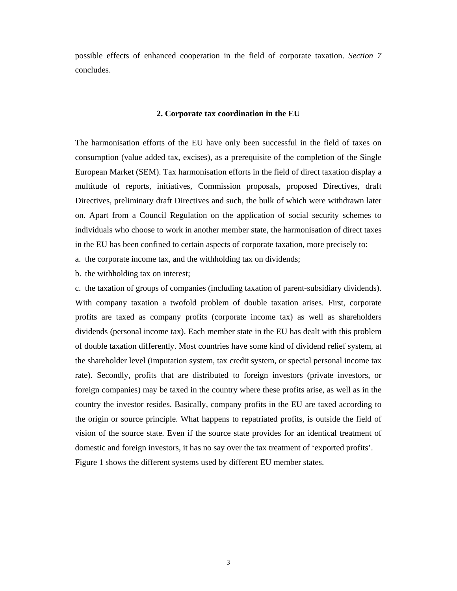possible effects of enhanced cooperation in the field of corporate taxation. *Section 7* concludes.

#### **2. Corporate tax coordination in the EU**

The harmonisation efforts of the EU have only been successful in the field of taxes on consumption (value added tax, excises), as a prerequisite of the completion of the Single European Market (SEM). Tax harmonisation efforts in the field of direct taxation display a multitude of reports, initiatives, Commission proposals, proposed Directives, draft Directives, preliminary draft Directives and such, the bulk of which were withdrawn later on. Apart from a Council Regulation on the application of social security schemes to individuals who choose to work in another member state, the harmonisation of direct taxes in the EU has been confined to certain aspects of corporate taxation, more precisely to:

a. the corporate income tax, and the withholding tax on dividends;

b. the withholding tax on interest;

c. the taxation of groups of companies (including taxation of parent-subsidiary dividends). With company taxation a twofold problem of double taxation arises. First, corporate profits are taxed as company profits (corporate income tax) as well as shareholders dividends (personal income tax). Each member state in the EU has dealt with this problem of double taxation differently. Most countries have some kind of dividend relief system, at the shareholder level (imputation system, tax credit system, or special personal income tax rate). Secondly, profits that are distributed to foreign investors (private investors, or foreign companies) may be taxed in the country where these profits arise, as well as in the country the investor resides. Basically, company profits in the EU are taxed according to the origin or source principle. What happens to repatriated profits, is outside the field of vision of the source state. Even if the source state provides for an identical treatment of domestic and foreign investors, it has no say over the tax treatment of 'exported profits'. Figure 1 shows the different systems used by different EU member states.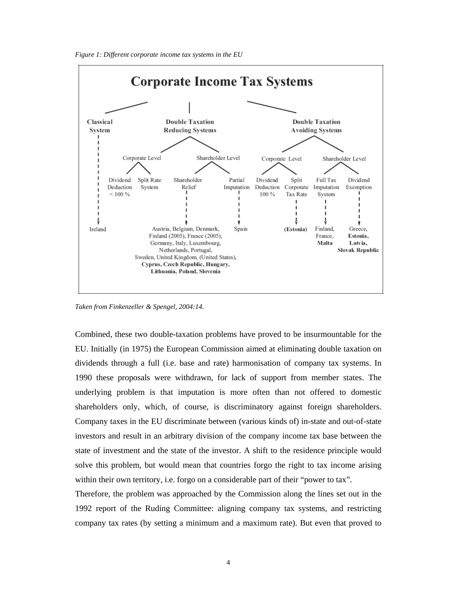*Figure 1: Different corporate income tax systems in the EU* 



*Taken from Finkenzeller & Spengel, 2004:14.*

Combined, these two double-taxation problems have proved to be insurmountable for the EU. Initially (in 1975) the European Commission aimed at eliminating double taxation on dividends through a full (i.e. base and rate) harmonisation of company tax systems. In 1990 these proposals were withdrawn, for lack of support from member states. The underlying problem is that imputation is more often than not offered to domestic shareholders only, which, of course, is discriminatory against foreign shareholders. Company taxes in the EU discriminate between (various kinds of) in-state and out-of-state investors and result in an arbitrary division of the company income tax base between the state of investment and the state of the investor. A shift to the residence principle would solve this problem, but would mean that countries forgo the right to tax income arising within their own territory, i.e. forgo on a considerable part of their "power to tax".

Therefore, the problem was approached by the Commission along the lines set out in the 1992 report of the Ruding Committee: aligning company tax systems, and restricting company tax rates (by setting a minimum and a maximum rate). But even that proved to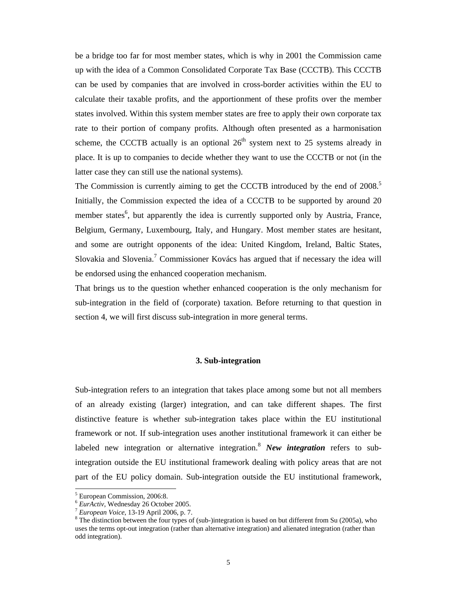be a bridge too far for most member states, which is why in 2001 the Commission came up with the idea of a Common Consolidated Corporate Tax Base (CCCTB). This CCCTB can be used by companies that are involved in cross-border activities within the EU to calculate their taxable profits, and the apportionment of these profits over the member states involved. Within this system member states are free to apply their own corporate tax rate to their portion of company profits. Although often presented as a harmonisation scheme, the CCCTB actually is an optional  $26<sup>th</sup>$  system next to 25 systems already in place. It is up to companies to decide whether they want to use the CCCTB or not (in the latter case they can still use the national systems).

The Commission is currently aiming to get the CCCTB introduced by the end of 2008.<sup>5</sup> Initially, the Commission expected the idea of a CCCTB to be supported by around 20 member states<sup>6</sup>, but apparently the idea is currently supported only by Austria, France, Belgium, Germany, Luxembourg, Italy, and Hungary. Most member states are hesitant, and some are outright opponents of the idea: United Kingdom, Ireland, Baltic States, Slovakia and Slovenia.<sup>7</sup> Commissioner Kovács has argued that if necessary the idea will be endorsed using the enhanced cooperation mechanism.

That brings us to the question whether enhanced cooperation is the only mechanism for sub-integration in the field of (corporate) taxation. Before returning to that question in section 4, we will first discuss sub-integration in more general terms.

#### **3. Sub-integration**

Sub-integration refers to an integration that takes place among some but not all members of an already existing (larger) integration, and can take different shapes. The first distinctive feature is whether sub-integration takes place within the EU institutional framework or not. If sub-integration uses another institutional framework it can either be labeled new integration or alternative integration.<sup>8</sup> *New integration* refers to subintegration outside the EU institutional framework dealing with policy areas that are not part of the EU policy domain. Sub-integration outside the EU institutional framework,

l

<sup>&</sup>lt;sup>5</sup> European Commission, 2006:8.

<sup>6</sup> *EurActiv*, Wednesday 26 October 2005. 7 *European Voice*, 13-19 April 2006, p. 7. 8

<sup>&</sup>lt;sup>8</sup> The distinction between the four types of (sub-)integration is based on but different from Su (2005a), who uses the terms opt-out integration (rather than alternative integration) and alienated integration (rather than odd integration).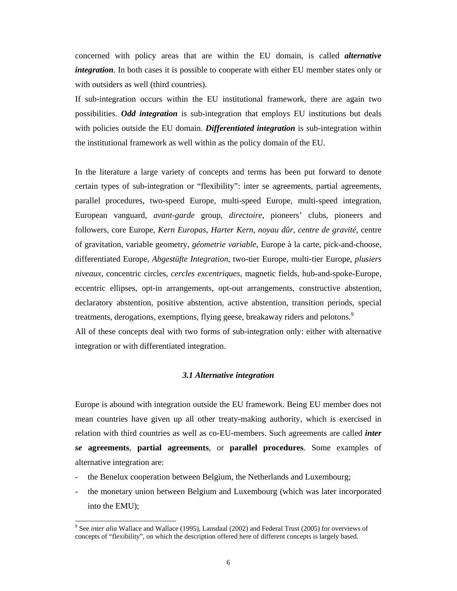concerned with policy areas that are within the EU domain, is called *alternative integration*. In both cases it is possible to cooperate with either EU member states only or with outsiders as well (third countries).

If sub-integration occurs within the EU institutional framework, there are again two possibilities. *Odd integration* is sub-integration that employs EU institutions but deals with policies outside the EU domain. *Differentiated integration* is sub-integration within the institutional framework as well within as the policy domain of the EU.

In the literature a large variety of concepts and terms has been put forward to denote certain types of sub-integration or "flexibility": inter se agreements, partial agreements, parallel procedures, two-speed Europe, multi-speed Europe, multi-speed integration, European vanguard, *avant-garde* group, *directoire*, pioneers' clubs, pioneers and followers, core Europe, *Kern Europas*, *Harter Kern*, *noyau dûr*, *centre de gravité*, centre of gravitation, variable geometry, *géometrie variable*, Europe à la carte, pick-and-choose, differentiated Europe, *Abgestüfte Integration*, two-tier Europe, multi-tier Europe, *plusiers niveaux*, concentric circles, *cercles excentriques*, magnetic fields, hub-and-spoke-Europe, eccentric ellipses, opt-in arrangements, opt-out arrangements, constructive abstention, declaratory abstention, positive abstention, active abstention, transition periods, special treatments, derogations, exemptions, flying geese, breakaway riders and pelotons.<sup>9</sup> All of these concepts deal with two forms of sub-integration only: either with alternative integration or with differentiated integration.

#### *3.1 Alternative integration*

Europe is abound with integration outside the EU framework. Being EU member does not mean countries have given up all other treaty-making authority, which is exercised in relation with third countries as well as co-EU-members. Such agreements are called *inter se* **agreements**, **partial agreements**, or **parallel procedures**. Some examples of alternative integration are:

- the Benelux cooperation between Belgium, the Netherlands and Luxembourg;

 $\overline{a}$ 

- the monetary union between Belgium and Luxembourg (which was later incorporated into the EMU);

<sup>&</sup>lt;sup>9</sup> See *inter alia* Wallace and Wallace (1995), Lansdaal (2002) and Federal Trust (2005) for overviews of concepts of "flexibility", on which the description offered here of different concepts is largely based.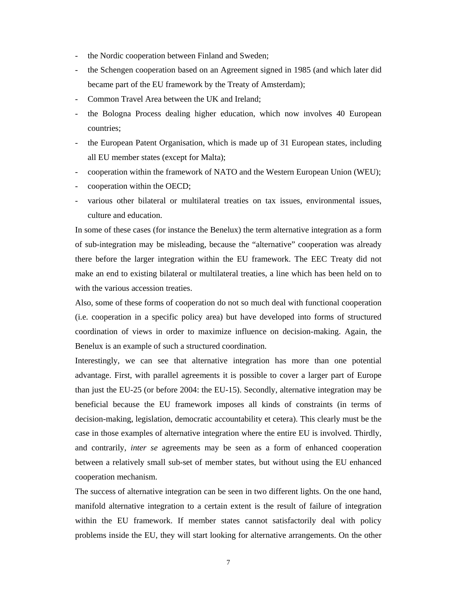- the Nordic cooperation between Finland and Sweden;
- the Schengen cooperation based on an Agreement signed in 1985 (and which later did became part of the EU framework by the Treaty of Amsterdam);
- Common Travel Area between the UK and Ireland;
- the Bologna Process dealing higher education, which now involves 40 European countries;
- the European Patent Organisation, which is made up of 31 European states, including all EU member states (except for Malta);
- cooperation within the framework of NATO and the Western European Union (WEU);
- cooperation within the OECD;
- various other bilateral or multilateral treaties on tax issues, environmental issues, culture and education.

In some of these cases (for instance the Benelux) the term alternative integration as a form of sub-integration may be misleading, because the "alternative" cooperation was already there before the larger integration within the EU framework. The EEC Treaty did not make an end to existing bilateral or multilateral treaties, a line which has been held on to with the various accession treaties.

Also, some of these forms of cooperation do not so much deal with functional cooperation (i.e. cooperation in a specific policy area) but have developed into forms of structured coordination of views in order to maximize influence on decision-making. Again, the Benelux is an example of such a structured coordination.

Interestingly, we can see that alternative integration has more than one potential advantage. First, with parallel agreements it is possible to cover a larger part of Europe than just the EU-25 (or before 2004: the EU-15). Secondly, alternative integration may be beneficial because the EU framework imposes all kinds of constraints (in terms of decision-making, legislation, democratic accountability et cetera). This clearly must be the case in those examples of alternative integration where the entire EU is involved. Thirdly, and contrarily, *inter se* agreements may be seen as a form of enhanced cooperation between a relatively small sub-set of member states, but without using the EU enhanced cooperation mechanism.

The success of alternative integration can be seen in two different lights. On the one hand, manifold alternative integration to a certain extent is the result of failure of integration within the EU framework. If member states cannot satisfactorily deal with policy problems inside the EU, they will start looking for alternative arrangements. On the other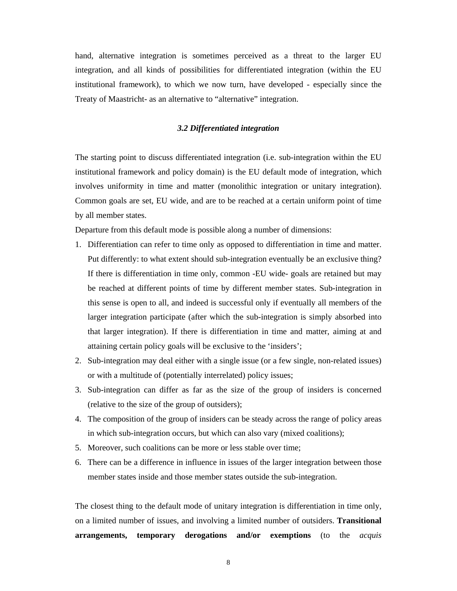hand, alternative integration is sometimes perceived as a threat to the larger EU integration, and all kinds of possibilities for differentiated integration (within the EU institutional framework), to which we now turn, have developed - especially since the Treaty of Maastricht- as an alternative to "alternative" integration.

### *3.2 Differentiated integration*

The starting point to discuss differentiated integration (i.e. sub-integration within the EU institutional framework and policy domain) is the EU default mode of integration, which involves uniformity in time and matter (monolithic integration or unitary integration). Common goals are set, EU wide, and are to be reached at a certain uniform point of time by all member states.

Departure from this default mode is possible along a number of dimensions:

- 1. Differentiation can refer to time only as opposed to differentiation in time and matter. Put differently: to what extent should sub-integration eventually be an exclusive thing? If there is differentiation in time only, common -EU wide- goals are retained but may be reached at different points of time by different member states. Sub-integration in this sense is open to all, and indeed is successful only if eventually all members of the larger integration participate (after which the sub-integration is simply absorbed into that larger integration). If there is differentiation in time and matter, aiming at and attaining certain policy goals will be exclusive to the 'insiders';
- 2. Sub-integration may deal either with a single issue (or a few single, non-related issues) or with a multitude of (potentially interrelated) policy issues;
- 3. Sub-integration can differ as far as the size of the group of insiders is concerned (relative to the size of the group of outsiders);
- 4. The composition of the group of insiders can be steady across the range of policy areas in which sub-integration occurs, but which can also vary (mixed coalitions);
- 5. Moreover, such coalitions can be more or less stable over time;
- 6. There can be a difference in influence in issues of the larger integration between those member states inside and those member states outside the sub-integration.

The closest thing to the default mode of unitary integration is differentiation in time only, on a limited number of issues, and involving a limited number of outsiders. **Transitional arrangements, temporary derogations and/or exemptions** (to the *acquis*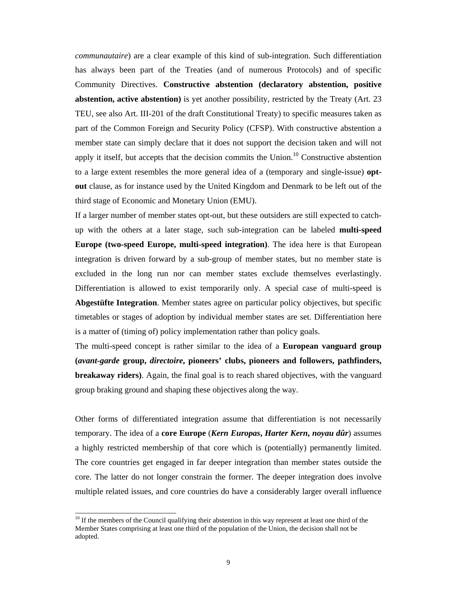*communautaire*) are a clear example of this kind of sub-integration. Such differentiation has always been part of the Treaties (and of numerous Protocols) and of specific Community Directives. **Constructive abstention (declaratory abstention, positive abstention, active abstention)** is yet another possibility, restricted by the Treaty (Art. 23 TEU, see also Art. III-201 of the draft Constitutional Treaty) to specific measures taken as part of the Common Foreign and Security Policy (CFSP). With constructive abstention a member state can simply declare that it does not support the decision taken and will not apply it itself, but accepts that the decision commits the Union.<sup>10</sup> Constructive abstention to a large extent resembles the more general idea of a (temporary and single-issue) **optout** clause, as for instance used by the United Kingdom and Denmark to be left out of the third stage of Economic and Monetary Union (EMU).

If a larger number of member states opt-out, but these outsiders are still expected to catchup with the others at a later stage, such sub-integration can be labeled **multi-speed Europe (two-speed Europe, multi-speed integration)**. The idea here is that European integration is driven forward by a sub-group of member states, but no member state is excluded in the long run nor can member states exclude themselves everlastingly. Differentiation is allowed to exist temporarily only. A special case of multi-speed is **Abgestüfte Integration**. Member states agree on particular policy objectives, but specific timetables or stages of adoption by individual member states are set. Differentiation here is a matter of (timing of) policy implementation rather than policy goals.

The multi-speed concept is rather similar to the idea of a **European vanguard group (***avant-garde* **group,** *directoire***, pioneers' clubs, pioneers and followers, pathfinders, breakaway riders)**. Again, the final goal is to reach shared objectives, with the vanguard group braking ground and shaping these objectives along the way.

Other forms of differentiated integration assume that differentiation is not necessarily temporary. The idea of a **core Europe** (*Kern Europas***,** *Harter Kern***,** *noyau dûr*) assumes a highly restricted membership of that core which is (potentially) permanently limited. The core countries get engaged in far deeper integration than member states outside the core. The latter do not longer constrain the former. The deeper integration does involve multiple related issues, and core countries do have a considerably larger overall influence

 $\overline{a}$ 

<sup>&</sup>lt;sup>10</sup> If the members of the Council qualifying their abstention in this way represent at least one third of the Member States comprising at least one third of the population of the Union, the decision shall not be adopted.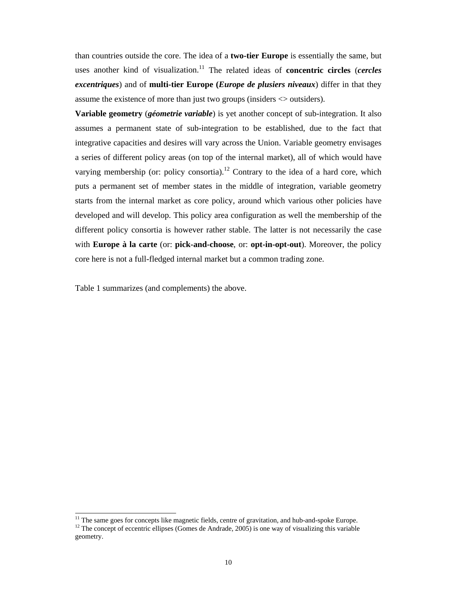than countries outside the core. The idea of a **two-tier Europe** is essentially the same, but uses another kind of visualization.<sup>11</sup> The related ideas of **concentric circles** (*cercles excentriques*) and of **multi-tier Europe (***Europe de plusiers niveaux*) differ in that they assume the existence of more than just two groups (insiders <> outsiders).

**Variable geometry** (*géometrie variable*) is yet another concept of sub-integration. It also assumes a permanent state of sub-integration to be established, due to the fact that integrative capacities and desires will vary across the Union. Variable geometry envisages a series of different policy areas (on top of the internal market), all of which would have varying membership (or: policy consortia).<sup>12</sup> Contrary to the idea of a hard core, which puts a permanent set of member states in the middle of integration, variable geometry starts from the internal market as core policy, around which various other policies have developed and will develop. This policy area configuration as well the membership of the different policy consortia is however rather stable. The latter is not necessarily the case with **Europe à la carte** (or: **pick-and-choose**, or: **opt-in-opt-out**). Moreover, the policy core here is not a full-fledged internal market but a common trading zone.

Table 1 summarizes (and complements) the above.

 $\overline{a}$ 

<sup>&</sup>lt;sup>11</sup> The same goes for concepts like magnetic fields, centre of gravitation, and hub-and-spoke Europe.

<sup>&</sup>lt;sup>12</sup> The concept of eccentric ellipses (Gomes de Andrade, 2005) is one way of visualizing this variable geometry.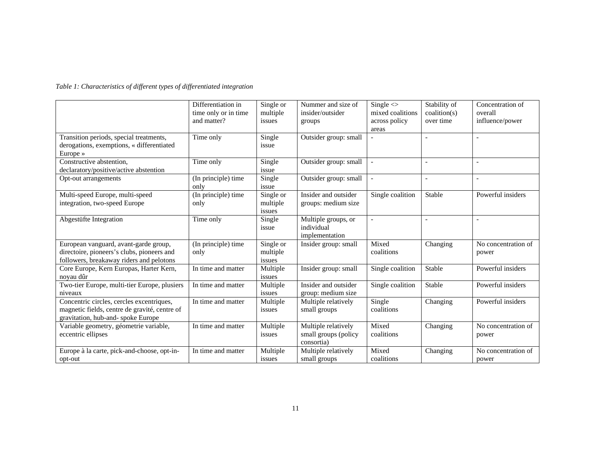*Table 1: Characteristics of different types of differentiated integration* 

|                                                                                                                                  | Differentiation in<br>time only or in time<br>and matter? | Single or<br>multiple<br>issues | Nummer and size of<br>insider/outsider<br>groups          | Single $\leq$<br>mixed coalitions<br>across policy<br>areas | Stability of<br>$\text{condition}(s)$<br>over time | Concentration of<br>overall<br>influence/power |
|----------------------------------------------------------------------------------------------------------------------------------|-----------------------------------------------------------|---------------------------------|-----------------------------------------------------------|-------------------------------------------------------------|----------------------------------------------------|------------------------------------------------|
| Transition periods, special treatments,<br>derogations, exemptions, « differentiated<br>Europe $\ast$                            | Time only                                                 | Single<br>issue                 | Outsider group: small                                     |                                                             |                                                    |                                                |
| Constructive abstention,<br>declaratory/positive/active abstention                                                               | Time only                                                 | Single<br>issue                 | Outsider group: small                                     |                                                             |                                                    | L,                                             |
| Opt-out arrangements                                                                                                             | (In principle) time<br>only                               | Single<br>issue                 | Outsider group: small                                     | $\overline{\phantom{0}}$                                    | $\overline{\phantom{a}}$                           | L,                                             |
| Multi-speed Europe, multi-speed<br>integration, two-speed Europe                                                                 | (In principle) time<br>only                               | Single or<br>multiple<br>issues | Insider and outsider<br>groups: medium size               | Single coalition                                            | Stable                                             | Powerful insiders                              |
| Abgestüfte Integration                                                                                                           | Time only                                                 | Single<br>issue                 | Multiple groups, or<br>individual<br>implementation       |                                                             |                                                    |                                                |
| European vanguard, avant-garde group,<br>directoire, pioneers's clubs, pioneers and<br>followers, breakaway riders and pelotons  | (In principle) time<br>only                               | Single or<br>multiple<br>issues | Insider group: small                                      | Mixed<br>coalitions                                         | Changing                                           | No concentration of<br>power                   |
| Core Europe, Kern Europas, Harter Kern,<br>novau dûr                                                                             | In time and matter                                        | Multiple<br>issues              | Insider group: small                                      | Single coalition                                            | Stable                                             | Powerful insiders                              |
| Two-tier Europe, multi-tier Europe, plusiers<br>niveaux                                                                          | In time and matter                                        | Multiple<br>issues              | Insider and outsider<br>group: medium size                | Single coalition                                            | Stable                                             | Powerful insiders                              |
| Concentric circles, cercles excentriques,<br>magnetic fields, centre de gravité, centre of<br>gravitation, hub-and- spoke Europe | In time and matter                                        | Multiple<br>issues              | Multiple relatively<br>small groups                       | Single<br>coalitions                                        | Changing                                           | Powerful insiders                              |
| Variable geometry, géometrie variable,<br>eccentric ellipses                                                                     | In time and matter                                        | Multiple<br>issues              | Multiple relatively<br>small groups (policy<br>consortia) | Mixed<br>coalitions                                         | Changing                                           | No concentration of<br>power                   |
| Europe à la carte, pick-and-choose, opt-in-<br>opt-out                                                                           | In time and matter                                        | Multiple<br>issues              | Multiple relatively<br>small groups                       | Mixed<br>coalitions                                         | Changing                                           | No concentration of<br>power                   |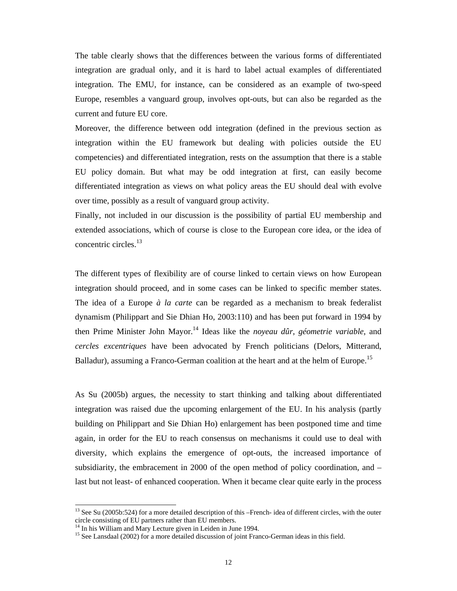The table clearly shows that the differences between the various forms of differentiated integration are gradual only, and it is hard to label actual examples of differentiated integration. The EMU, for instance, can be considered as an example of two-speed Europe, resembles a vanguard group, involves opt-outs, but can also be regarded as the current and future EU core.

Moreover, the difference between odd integration (defined in the previous section as integration within the EU framework but dealing with policies outside the EU competencies) and differentiated integration, rests on the assumption that there is a stable EU policy domain. But what may be odd integration at first, can easily become differentiated integration as views on what policy areas the EU should deal with evolve over time, possibly as a result of vanguard group activity.

Finally, not included in our discussion is the possibility of partial EU membership and extended associations, which of course is close to the European core idea, or the idea of concentric circles.<sup>13</sup>

The different types of flexibility are of course linked to certain views on how European integration should proceed, and in some cases can be linked to specific member states. The idea of a Europe *à la carte* can be regarded as a mechanism to break federalist dynamism (Philippart and Sie Dhian Ho, 2003:110) and has been put forward in 1994 by then Prime Minister John Mayor.14 Ideas like the *noyeau dûr*, *géometrie variable*, and *cercles excentriques* have been advocated by French politicians (Delors, Mitterand, Balladur), assuming a Franco-German coalition at the heart and at the helm of Europe.<sup>15</sup>

As Su (2005b) argues, the necessity to start thinking and talking about differentiated integration was raised due the upcoming enlargement of the EU. In his analysis (partly building on Philippart and Sie Dhian Ho) enlargement has been postponed time and time again, in order for the EU to reach consensus on mechanisms it could use to deal with diversity, which explains the emergence of opt-outs, the increased importance of subsidiarity, the embracement in 2000 of the open method of policy coordination, and – last but not least- of enhanced cooperation. When it became clear quite early in the process

 $\overline{a}$ 

<sup>&</sup>lt;sup>13</sup> See Su (2005b:524) for a more detailed description of this –French- idea of different circles, with the outer circle consisting of EU partners rather than EU members.

<sup>&</sup>lt;sup>14</sup> In his William and Mary Lecture given in Leiden in June 1994.

<sup>&</sup>lt;sup>15</sup> See Lansdaal (2002) for a more detailed discussion of joint Franco-German ideas in this field.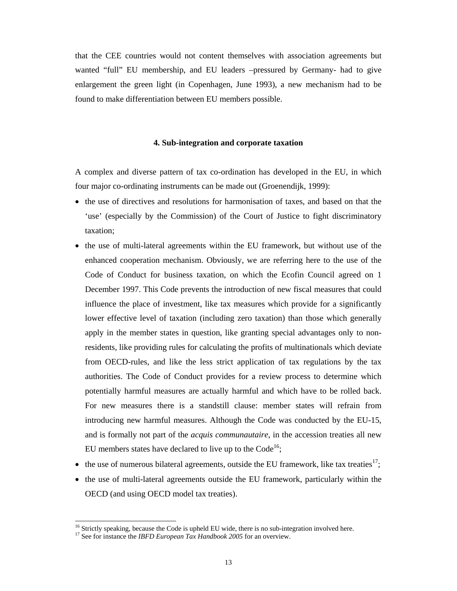that the CEE countries would not content themselves with association agreements but wanted "full" EU membership, and EU leaders –pressured by Germany- had to give enlargement the green light (in Copenhagen, June 1993), a new mechanism had to be found to make differentiation between EU members possible.

#### **4. Sub-integration and corporate taxation**

A complex and diverse pattern of tax co-ordination has developed in the EU, in which four major co-ordinating instruments can be made out (Groenendijk, 1999):

- the use of directives and resolutions for harmonisation of taxes, and based on that the 'use' (especially by the Commission) of the Court of Justice to fight discriminatory taxation;
- the use of multi-lateral agreements within the EU framework, but without use of the enhanced cooperation mechanism. Obviously, we are referring here to the use of the Code of Conduct for business taxation, on which the Ecofin Council agreed on 1 December 1997. This Code prevents the introduction of new fiscal measures that could influence the place of investment, like tax measures which provide for a significantly lower effective level of taxation (including zero taxation) than those which generally apply in the member states in question, like granting special advantages only to nonresidents, like providing rules for calculating the profits of multinationals which deviate from OECD-rules, and like the less strict application of tax regulations by the tax authorities. The Code of Conduct provides for a review process to determine which potentially harmful measures are actually harmful and which have to be rolled back. For new measures there is a standstill clause: member states will refrain from introducing new harmful measures. Although the Code was conducted by the EU-15, and is formally not part of the *acquis communautaire*, in the accession treaties all new EU members states have declared to live up to the  $Code<sup>16</sup>$ ;
- the use of numerous bilateral agreements, outside the EU framework, like tax treaties<sup>17</sup>;
- the use of multi-lateral agreements outside the EU framework, particularly within the OECD (and using OECD model tax treaties).

 $\overline{a}$ 

<sup>&</sup>lt;sup>16</sup> Strictly speaking, because the Code is upheld EU wide, there is no sub-integration involved here.

<sup>&</sup>lt;sup>17</sup> See for instance the *IBFD European Tax Handbook 2005* for an overview.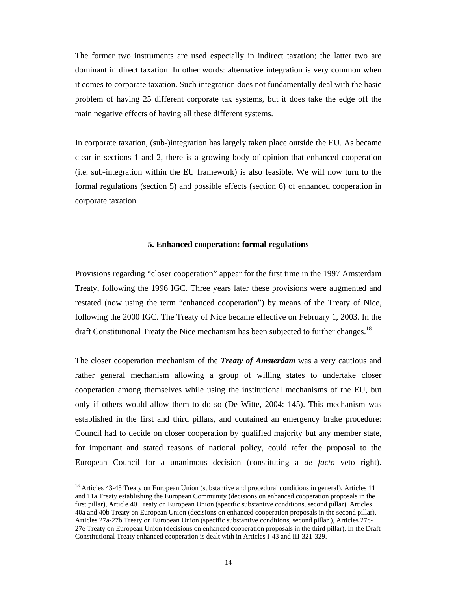The former two instruments are used especially in indirect taxation; the latter two are dominant in direct taxation. In other words: alternative integration is very common when it comes to corporate taxation. Such integration does not fundamentally deal with the basic problem of having 25 different corporate tax systems, but it does take the edge off the main negative effects of having all these different systems.

In corporate taxation, (sub-)integration has largely taken place outside the EU. As became clear in sections 1 and 2, there is a growing body of opinion that enhanced cooperation (i.e. sub-integration within the EU framework) is also feasible. We will now turn to the formal regulations (section 5) and possible effects (section 6) of enhanced cooperation in corporate taxation.

#### **5. Enhanced cooperation: formal regulations**

Provisions regarding "closer cooperation" appear for the first time in the 1997 Amsterdam Treaty, following the 1996 IGC. Three years later these provisions were augmented and restated (now using the term "enhanced cooperation") by means of the Treaty of Nice, following the 2000 IGC. The Treaty of Nice became effective on February 1, 2003. In the draft Constitutional Treaty the Nice mechanism has been subjected to further changes.<sup>18</sup>

The closer cooperation mechanism of the *Treaty of Amsterdam* was a very cautious and rather general mechanism allowing a group of willing states to undertake closer cooperation among themselves while using the institutional mechanisms of the EU, but only if others would allow them to do so (De Witte, 2004: 145). This mechanism was established in the first and third pillars, and contained an emergency brake procedure: Council had to decide on closer cooperation by qualified majority but any member state, for important and stated reasons of national policy, could refer the proposal to the European Council for a unanimous decision (constituting a *de facto* veto right).

l

<sup>&</sup>lt;sup>18</sup> Articles 43-45 Treaty on European Union (substantive and procedural conditions in general), Articles 11 and 11a Treaty establishing the European Community (decisions on enhanced cooperation proposals in the first pillar), Article 40 Treaty on European Union (specific substantive conditions, second pillar), Articles 40a and 40b Treaty on European Union (decisions on enhanced cooperation proposals in the second pillar), Articles 27a-27b Treaty on European Union (specific substantive conditions, second pillar ), Articles 27c-27e Treaty on European Union (decisions on enhanced cooperation proposals in the third pillar). In the Draft Constitutional Treaty enhanced cooperation is dealt with in Articles I-43 and III-321-329.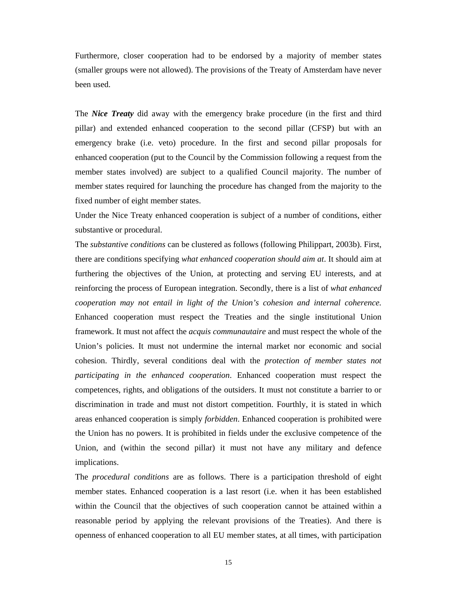Furthermore, closer cooperation had to be endorsed by a majority of member states (smaller groups were not allowed). The provisions of the Treaty of Amsterdam have never been used.

The *Nice Treaty* did away with the emergency brake procedure (in the first and third pillar) and extended enhanced cooperation to the second pillar (CFSP) but with an emergency brake (i.e. veto) procedure. In the first and second pillar proposals for enhanced cooperation (put to the Council by the Commission following a request from the member states involved) are subject to a qualified Council majority. The number of member states required for launching the procedure has changed from the majority to the fixed number of eight member states.

Under the Nice Treaty enhanced cooperation is subject of a number of conditions, either substantive or procedural.

The *substantive conditions* can be clustered as follows (following Philippart, 2003b). First, there are conditions specifying *what enhanced cooperation should aim at*. It should aim at furthering the objectives of the Union, at protecting and serving EU interests, and at reinforcing the process of European integration. Secondly, there is a list of *what enhanced cooperation may not entail in light of the Union's cohesion and internal coherence.*  Enhanced cooperation must respect the Treaties and the single institutional Union framework. It must not affect the *acquis communautaire* and must respect the whole of the Union's policies. It must not undermine the internal market nor economic and social cohesion. Thirdly, several conditions deal with the *protection of member states not participating in the enhanced cooperation*. Enhanced cooperation must respect the competences, rights, and obligations of the outsiders. It must not constitute a barrier to or discrimination in trade and must not distort competition. Fourthly, it is stated in which areas enhanced cooperation is simply *forbidden*. Enhanced cooperation is prohibited were the Union has no powers. It is prohibited in fields under the exclusive competence of the Union, and (within the second pillar) it must not have any military and defence implications.

The *procedural conditions* are as follows. There is a participation threshold of eight member states. Enhanced cooperation is a last resort (i.e. when it has been established within the Council that the objectives of such cooperation cannot be attained within a reasonable period by applying the relevant provisions of the Treaties). And there is openness of enhanced cooperation to all EU member states, at all times, with participation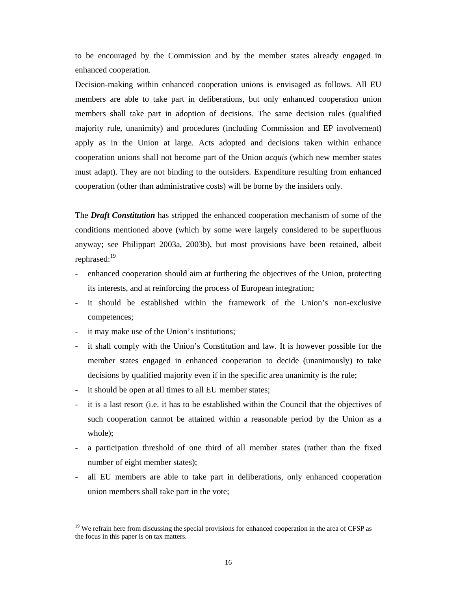to be encouraged by the Commission and by the member states already engaged in enhanced cooperation.

Decision-making within enhanced cooperation unions is envisaged as follows. All EU members are able to take part in deliberations, but only enhanced cooperation union members shall take part in adoption of decisions. The same decision rules (qualified majority rule, unanimity) and procedures (including Commission and EP involvement) apply as in the Union at large. Acts adopted and decisions taken within enhance cooperation unions shall not become part of the Union *acquis* (which new member states must adapt). They are not binding to the outsiders. Expenditure resulting from enhanced cooperation (other than administrative costs) will be borne by the insiders only.

The *Draft Constitution* has stripped the enhanced cooperation mechanism of some of the conditions mentioned above (which by some were largely considered to be superfluous anyway; see Philippart 2003a, 2003b), but most provisions have been retained, albeit rephrased:<sup>19</sup>

- enhanced cooperation should aim at furthering the objectives of the Union, protecting its interests, and at reinforcing the process of European integration;
- it should be established within the framework of the Union's non-exclusive competences;
- it may make use of the Union's institutions;

 $\overline{a}$ 

- it shall comply with the Union's Constitution and law. It is however possible for the member states engaged in enhanced cooperation to decide (unanimously) to take decisions by qualified majority even if in the specific area unanimity is the rule;
- it should be open at all times to all EU member states;
- it is a last resort (i.e. it has to be established within the Council that the objectives of such cooperation cannot be attained within a reasonable period by the Union as a whole);
- a participation threshold of one third of all member states (rather than the fixed number of eight member states);
- all EU members are able to take part in deliberations, only enhanced cooperation union members shall take part in the vote;

 $19$  We refrain here from discussing the special provisions for enhanced cooperation in the area of CFSP as the focus in this paper is on tax matters.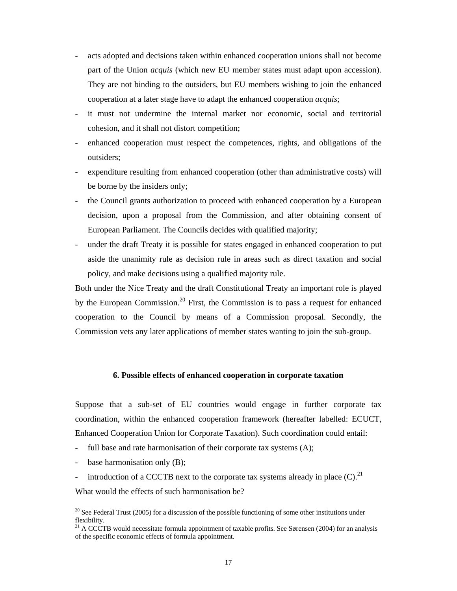- acts adopted and decisions taken within enhanced cooperation unions shall not become part of the Union *acquis* (which new EU member states must adapt upon accession). They are not binding to the outsiders, but EU members wishing to join the enhanced cooperation at a later stage have to adapt the enhanced cooperation *acquis*;
- it must not undermine the internal market nor economic, social and territorial cohesion, and it shall not distort competition;
- enhanced cooperation must respect the competences, rights, and obligations of the outsiders;
- expenditure resulting from enhanced cooperation (other than administrative costs) will be borne by the insiders only;
- the Council grants authorization to proceed with enhanced cooperation by a European decision, upon a proposal from the Commission, and after obtaining consent of European Parliament. The Councils decides with qualified majority;
- under the draft Treaty it is possible for states engaged in enhanced cooperation to put aside the unanimity rule as decision rule in areas such as direct taxation and social policy, and make decisions using a qualified majority rule.

Both under the Nice Treaty and the draft Constitutional Treaty an important role is played by the European Commission.<sup>20</sup> First, the Commission is to pass a request for enhanced cooperation to the Council by means of a Commission proposal. Secondly, the Commission vets any later applications of member states wanting to join the sub-group.

### **6. Possible effects of enhanced cooperation in corporate taxation**

Suppose that a sub-set of EU countries would engage in further corporate tax coordination, within the enhanced cooperation framework (hereafter labelled: ECUCT, Enhanced Cooperation Union for Corporate Taxation). Such coordination could entail:

- full base and rate harmonisation of their corporate tax systems  $(A)$ ;
- base harmonisation only (B);

 $\overline{a}$ 

- introduction of a CCCTB next to the corporate tax systems already in place  $(C)$ .<sup>21</sup>

What would the effects of such harmonisation be?

 $20$  See Federal Trust (2005) for a discussion of the possible functioning of some other institutions under flexibility.

<sup>&</sup>lt;sup>21</sup> A CCCTB would necessitate formula appointment of taxable profits. See Sørensen (2004) for an analysis of the specific economic effects of formula appointment.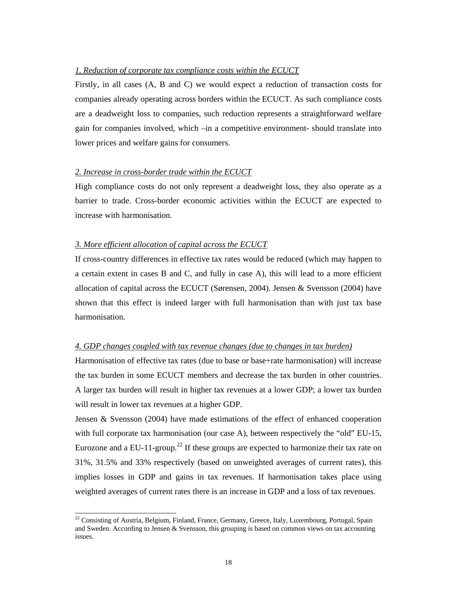### *1. Reduction of corporate tax compliance costs within the ECUCT*

Firstly, in all cases (A, B and C) we would expect a reduction of transaction costs for companies already operating across borders within the ECUCT. As such compliance costs are a deadweight loss to companies, such reduction represents a straightforward welfare gain for companies involved, which –in a competitive environment- should translate into lower prices and welfare gains for consumers.

### *2. Increase in cross-border trade within the ECUCT*

High compliance costs do not only represent a deadweight loss, they also operate as a barrier to trade. Cross-border economic activities within the ECUCT are expected to increase with harmonisation.

#### *3. More efficient allocation of capital across the ECUCT*

 $\overline{a}$ 

If cross-country differences in effective tax rates would be reduced (which may happen to a certain extent in cases B and C, and fully in case A), this will lead to a more efficient allocation of capital across the ECUCT (Sørensen, 2004). Jensen & Svensson (2004) have shown that this effect is indeed larger with full harmonisation than with just tax base harmonisation.

#### *4. GDP changes coupled with tax revenue changes (due to changes in tax burden)*

Harmonisation of effective tax rates (due to base or base+rate harmonisation) will increase the tax burden in some ECUCT members and decrease the tax burden in other countries. A larger tax burden will result in higher tax revenues at a lower GDP; a lower tax burden will result in lower tax revenues at a higher GDP.

Jensen & Svensson (2004) have made estimations of the effect of enhanced cooperation with full corporate tax harmonisation (our case A), between respectively the "old" EU-15, Eurozone and a EU-11-group.<sup>22</sup> If these groups are expected to harmonize their tax rate on 31%, 31.5% and 33% respectively (based on unweighted averages of current rates), this implies losses in GDP and gains in tax revenues. If harmonisation takes place using weighted averages of current rates there is an increase in GDP and a loss of tax revenues.

<sup>&</sup>lt;sup>22</sup> Consisting of Austria, Belgium, Finland, France, Germany, Greece, Italy, Luxembourg, Portugal, Spain and Sweden. According to Jensen & Svensson, this grouping is based on common views on tax accounting issues.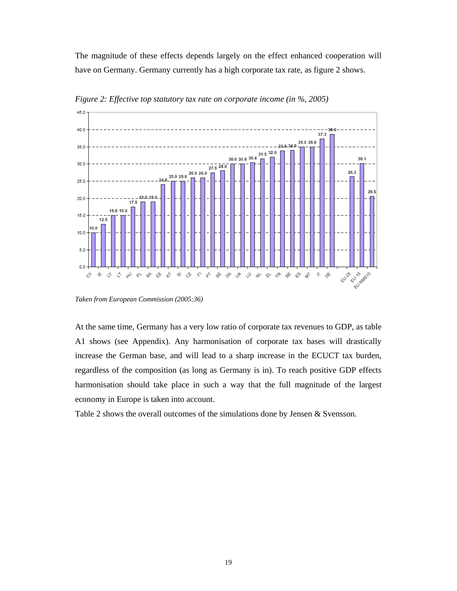The magnitude of these effects depends largely on the effect enhanced cooperation will have on Germany. Germany currently has a high corporate tax rate, as figure 2 shows.



*Figure 2: Effective top statutory tax rate on corporate income (in %, 2005)* 

*Taken from European Commission (2005:36)* 

At the same time, Germany has a very low ratio of corporate tax revenues to GDP, as table A1 shows (see Appendix). Any harmonisation of corporate tax bases will drastically increase the German base, and will lead to a sharp increase in the ECUCT tax burden, regardless of the composition (as long as Germany is in). To reach positive GDP effects harmonisation should take place in such a way that the full magnitude of the largest economy in Europe is taken into account.

Table 2 shows the overall outcomes of the simulations done by Jensen & Svensson.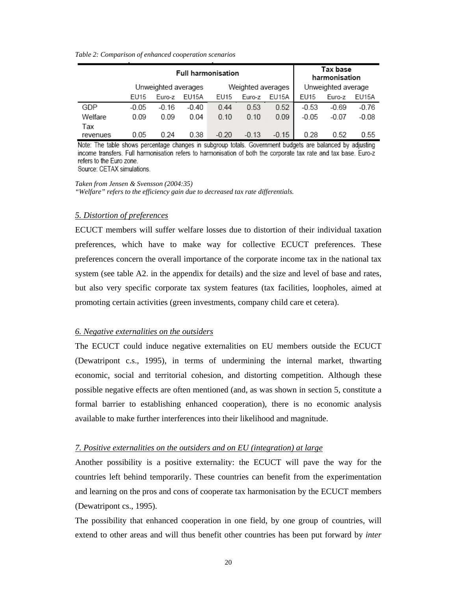#### *Table 2: Comparison of enhanced cooperation scenarios*

|                 |         |                     | <b>Full harmonisation</b> | Tax base<br>harmonisation |                   |         |                    |         |         |
|-----------------|---------|---------------------|---------------------------|---------------------------|-------------------|---------|--------------------|---------|---------|
|                 |         | Unweighted averages |                           |                           | Weighted averages |         | Unweighted average |         |         |
|                 | EU15    | Euro-z              | EU15A                     | EU15                      | Euro-z            | EU15A   | EU15               | Euro-z  | EU15A   |
| GDP             | $-0.05$ | $-0.16$             | $-0.40$                   | 0.44                      | 0.53              | 0.52    | $-0.53$            | $-0.69$ | $-0.76$ |
| Welfare         | 0.09    | 0.09                | 0.04                      | 0.10                      | 0.10              | 0.09    | $-0.05$            | $-0.07$ | $-0.08$ |
| Tax<br>revenues | 0.05    | 0.24                | 0.38                      | $-0.20$                   | $-0.13$           | $-0.15$ | 0.28               | 0.52    | 0.55    |

Note: The table shows percentage changes in subgroup totals. Government budgets are balanced by adjusting income transfers. Full harmonisation refers to harmonisation of both the corporate tax rate and tax base. Euro-z refers to the Euro zone.

Source: CETAX simulations.

*Taken from Jensen & Svensson (2004:35) "Welfare" refers to the efficiency gain due to decreased tax rate differentials.* 

#### *5. Distortion of preferences*

ECUCT members will suffer welfare losses due to distortion of their individual taxation preferences, which have to make way for collective ECUCT preferences. These preferences concern the overall importance of the corporate income tax in the national tax system (see table A2. in the appendix for details) and the size and level of base and rates, but also very specific corporate tax system features (tax facilities, loopholes, aimed at promoting certain activities (green investments, company child care et cetera).

### *6. Negative externalities on the outsiders*

The ECUCT could induce negative externalities on EU members outside the ECUCT (Dewatripont c.s., 1995), in terms of undermining the internal market, thwarting economic, social and territorial cohesion, and distorting competition. Although these possible negative effects are often mentioned (and, as was shown in section 5, constitute a formal barrier to establishing enhanced cooperation), there is no economic analysis available to make further interferences into their likelihood and magnitude.

#### *7. Positive externalities on the outsiders and on EU (integration) at large*

Another possibility is a positive externality: the ECUCT will pave the way for the countries left behind temporarily. These countries can benefit from the experimentation and learning on the pros and cons of cooperate tax harmonisation by the ECUCT members (Dewatripont cs., 1995).

The possibility that enhanced cooperation in one field, by one group of countries, will extend to other areas and will thus benefit other countries has been put forward by *inter*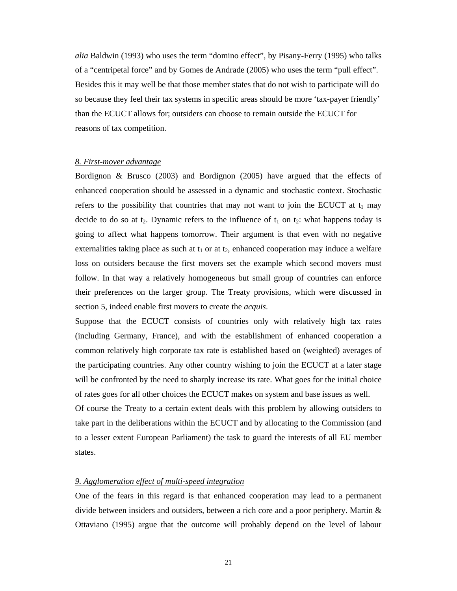*alia* Baldwin (1993) who uses the term "domino effect", by Pisany-Ferry (1995) who talks of a "centripetal force" and by Gomes de Andrade (2005) who uses the term "pull effect". Besides this it may well be that those member states that do not wish to participate will do so because they feel their tax systems in specific areas should be more 'tax-payer friendly' than the ECUCT allows for; outsiders can choose to remain outside the ECUCT for reasons of tax competition.

### *8. First-mover advantage*

Bordignon & Brusco (2003) and Bordignon (2005) have argued that the effects of enhanced cooperation should be assessed in a dynamic and stochastic context. Stochastic refers to the possibility that countries that may not want to join the ECUCT at  $t_1$  may decide to do so at t<sub>2</sub>. Dynamic refers to the influence of  $t_1$  on  $t_2$ : what happens today is going to affect what happens tomorrow. Their argument is that even with no negative externalities taking place as such at  $t_1$  or at  $t_2$ , enhanced cooperation may induce a welfare loss on outsiders because the first movers set the example which second movers must follow. In that way a relatively homogeneous but small group of countries can enforce their preferences on the larger group. The Treaty provisions, which were discussed in section 5, indeed enable first movers to create the *acquis*.

Suppose that the ECUCT consists of countries only with relatively high tax rates (including Germany, France), and with the establishment of enhanced cooperation a common relatively high corporate tax rate is established based on (weighted) averages of the participating countries. Any other country wishing to join the ECUCT at a later stage will be confronted by the need to sharply increase its rate. What goes for the initial choice of rates goes for all other choices the ECUCT makes on system and base issues as well.

Of course the Treaty to a certain extent deals with this problem by allowing outsiders to take part in the deliberations within the ECUCT and by allocating to the Commission (and to a lesser extent European Parliament) the task to guard the interests of all EU member states.

### *9. Agglomeration effect of multi-speed integration*

One of the fears in this regard is that enhanced cooperation may lead to a permanent divide between insiders and outsiders, between a rich core and a poor periphery. Martin & Ottaviano (1995) argue that the outcome will probably depend on the level of labour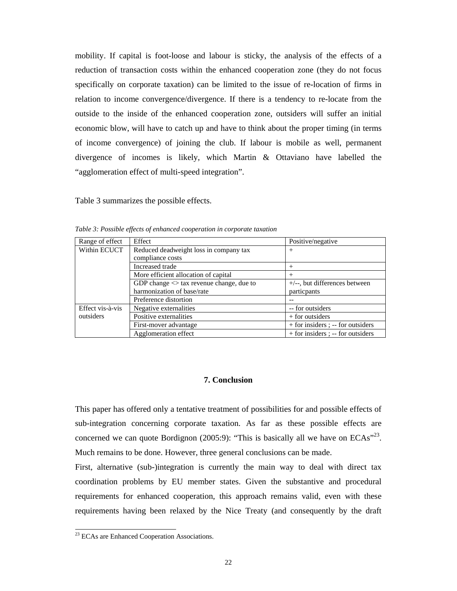mobility. If capital is foot-loose and labour is sticky, the analysis of the effects of a reduction of transaction costs within the enhanced cooperation zone (they do not focus specifically on corporate taxation) can be limited to the issue of re-location of firms in relation to income convergence/divergence. If there is a tendency to re-locate from the outside to the inside of the enhanced cooperation zone, outsiders will suffer an initial economic blow, will have to catch up and have to think about the proper timing (in terms of income convergence) of joining the club. If labour is mobile as well, permanent divergence of incomes is likely, which Martin & Ottaviano have labelled the "agglomeration effect of multi-speed integration".

Table 3 summarizes the possible effects.

| Range of effect  | Effect                                       | Positive/negative                 |
|------------------|----------------------------------------------|-----------------------------------|
| Within ECUCT     | Reduced deadweight loss in company tax       | $^{+}$                            |
|                  | compliance costs                             |                                   |
|                  | Increased trade                              | $^{+}$                            |
|                  | More efficient allocation of capital         | $^{+}$                            |
|                  | GDP change $\leq$ tax revenue change, due to | $+/-$ , but differences between   |
|                  | harmonization of base/rate                   | particpants                       |
|                  | Preference distortion                        |                                   |
| Effect vis-à-vis | Negative externalities                       | -- for outsiders                  |
| outsiders        | Positive externalities                       | + for outsiders                   |
|                  | First-mover advantage                        | + for insiders ; -- for outsiders |
|                  | Agglomeration effect                         | + for insiders ; -- for outsiders |

*Table 3: Possible effects of enhanced cooperation in corporate taxation* 

#### **7. Conclusion**

This paper has offered only a tentative treatment of possibilities for and possible effects of sub-integration concerning corporate taxation. As far as these possible effects are concerned we can quote Bordignon (2005:9): "This is basically all we have on  $ECAs<sup>923</sup>$ . Much remains to be done. However, three general conclusions can be made.

First, alternative (sub-)integration is currently the main way to deal with direct tax coordination problems by EU member states. Given the substantive and procedural requirements for enhanced cooperation, this approach remains valid, even with these requirements having been relaxed by the Nice Treaty (and consequently by the draft

l

<sup>&</sup>lt;sup>23</sup> ECAs are Enhanced Cooperation Associations.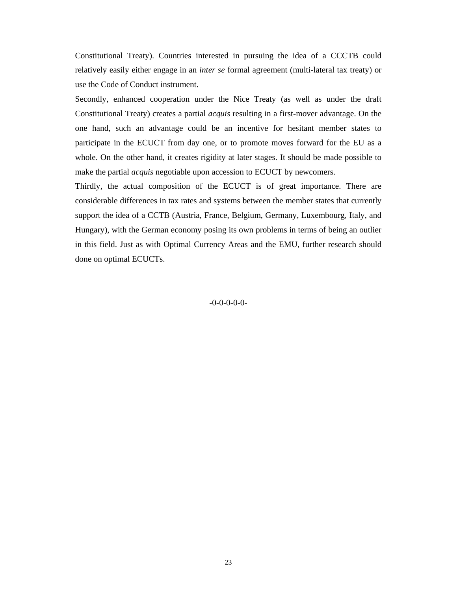Constitutional Treaty). Countries interested in pursuing the idea of a CCCTB could relatively easily either engage in an *inter se* formal agreement (multi-lateral tax treaty) or use the Code of Conduct instrument.

Secondly, enhanced cooperation under the Nice Treaty (as well as under the draft Constitutional Treaty) creates a partial *acquis* resulting in a first-mover advantage. On the one hand, such an advantage could be an incentive for hesitant member states to participate in the ECUCT from day one, or to promote moves forward for the EU as a whole. On the other hand, it creates rigidity at later stages. It should be made possible to make the partial *acquis* negotiable upon accession to ECUCT by newcomers.

Thirdly, the actual composition of the ECUCT is of great importance. There are considerable differences in tax rates and systems between the member states that currently support the idea of a CCTB (Austria, France, Belgium, Germany, Luxembourg, Italy, and Hungary), with the German economy posing its own problems in terms of being an outlier in this field. Just as with Optimal Currency Areas and the EMU, further research should done on optimal ECUCTs.

#### -0-0-0-0-0-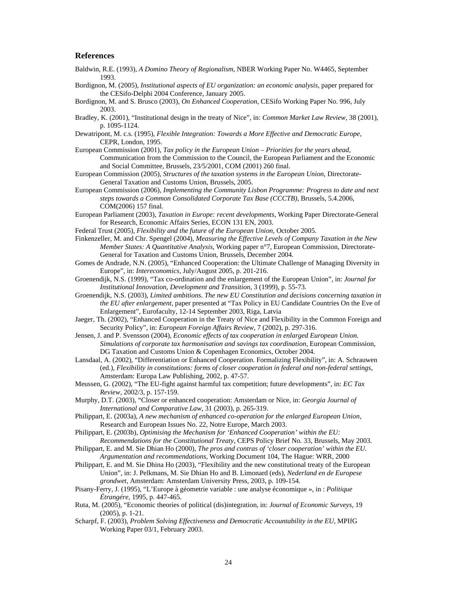#### **References**

- Baldwin, R.E. (1993), *A Domino Theory of Regionalism*, NBER Working Paper No. W4465, September 1993.
- Bordignon, M. (2005), *Institutional aspects of EU organization: an economic analysis*, paper prepared for the CESifo-Delphi 2004 Conference, January 2005.
- Bordignon, M. and S. Brusco (2003), *On Enhanced Cooperation*, CESifo Working Paper No. 996, July 2003.
- Bradley, K. (2001), "Institutional design in the treaty of Nice", in: *Common Market Law Review*, 38 (2001), p. 1095-1124.
- Dewatripont, M. c.s. (1995), *Flexible Integration: Towards a More Effective and Democratic Europe*, CEPR, London, 1995.
- European Commission (2001), *Tax policy in the European Union Priorities for the years ahead*, Communication from the Commission to the Council, the European Parliament and the Economic and Social Committee, Brussels, 23/5/2001, COM (2001) 260 final.
- European Commission (2005), *Structures of the taxation systems in the European Union*, Directorate-General Taxation and Customs Union, Brussels, 2005.
- European Commission (2006), *Implementing the Community Lisbon Programme: Progress to date and next steps towards a Common Consolidated Corporate Tax Base (CCCTB)*, Brussels, 5.4.2006, COM(2006) 157 final.
- European Parliament (2003), *Taxation in Europe: recent developments*, Working Paper Directorate-General for Research, Economic Affairs Series, ECON 131 EN, 2003.
- Federal Trust (2005), *Flexibility and the future of the European Union*, October 2005.
- Finkenzeller, M. and Chr. Spengel (2004), *Measuring the Effective Levels of Company Taxation in the New Member States: A Quantitative Analysis*, Working paper n°7, European Commission, Directorate-General for Taxation and Customs Union, Brussels, December 2004.
- Gomes de Andrade, N.N. (2005), "Enhanced Cooperation: the Ultimate Challenge of Managing Diversity in Europe", in: *Intereconomics*, July/August 2005, p. 201-216.
- Groenendijk, N.S. (1999), "Tax co-ordination and the enlargement of the European Union", in: *Journal for Institutional Innovation, Development and Transition*, 3 (1999), p. 55-73.
- Groenendijk, N.S. (2003), *Limited ambitions. The new EU Constitution and decisions concerning taxation in the EU after enlargement*, paper presented at "Tax Policy in EU Candidate Countries On the Eve of Enlargement", Eurofaculty, 12-14 September 2003, Riga, Latvia
- Jaeger, Th. (2002), "Enhanced Cooperation in the Treaty of Nice and Flexibility in the Common Foreign and Security Policy", in: *European Foreign Affairs Review*, 7 (2002), p. 297-316.
- Jensen, J. and P. Svensson (2004), *Economic effects of tax cooperation in enlarged European Union. Simulations of corporate tax harmonisation and savings tax coordination*, European Commission, DG Taxation and Customs Union & Copenhagen Economics, October 2004.
- Lansdaal, A. (2002), "Differentiation or Enhanced Cooperation. Formalizing Flexibility", in: A. Schrauwen (ed.), *Flexibility in constitutions: forms of closer cooperation in federal and non-federal settings*, Amsterdam: Europa Law Publishing, 2002, p. 47-57.
- Meussen, G. (2002), "The EU-fight against harmful tax competition; future developments", in: *EC Tax Review*, 2002/3, p. 157-159.
- Murphy, D.T. (2003), "Closer or enhanced cooperation: Amsterdam or Nice, in: *Georgia Journal of International and Comparative Law*, 31 (2003), p. 265-319.
- Philippart, E. (2003a), *A new mechanism of enhanced co-operation for the enlarged European Union*, Research and European Issues No. 22, Notre Europe, March 2003.
- Philippart, E. (2003b), *Optimising the Mechanism for 'Enhanced Cooperation' within the EU: Recommendations for the Constitutional Treaty*, CEPS Policy Brief No. 33, Brussels, May 2003.
- Philippart, E. and M. Sie Dhian Ho (2000), *The pros and contras of 'closer cooperation' within the EU. Argumentation and recommendations*, Working Document 104, The Hague: WRR, 2000
- Philippart, E. and M. Sie Dhina Ho (2003), "Flexibility and the new constitutional treaty of the European Union", in: J. Pelkmans, M. Sie Dhian Ho and B. Limonard (eds), *Nederland en de Europese grondwet*, Amsterdam: Amsterdam University Press, 2003, p. 109-154.
- Pisany-Ferry, J. (1995), "L'Europe à géometrie variable : une analyse économique », in : *Politique Étrangére*, 1995, p. 447-465.
- Ruta, M. (2005), "Economic theories of political (dis)integration, in: *Journal of Economic Surveys*, 19 (2005), p. 1-21.
- Scharpf, F. (2003), *Problem Solving Effectiveness and Democratic Accountability in the EU*, MPIfG Working Paper 03/1, February 2003.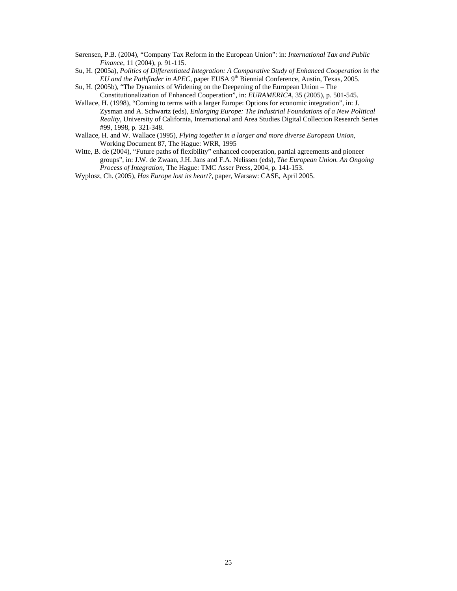- Sørensen, P.B. (2004), "Company Tax Reform in the European Union": in: *International Tax and Public Finance*, 11 (2004), p. 91-115.
- Su, H. (2005a), *Politics of Differentiated Integration: A Comparative Study of Enhanced Cooperation in the EU and the Pathfinder in APEC*, paper EUSA 9th Biennial Conference, Austin, Texas, 2005.
- Su, H. (2005b), "The Dynamics of Widening on the Deepening of the European Union The Constitutionalization of Enhanced Cooperation", in: *EURAMERICA*, 35 (2005), p. 501-545.
- Wallace, H. (1998), "Coming to terms with a larger Europe: Options for economic integration", in: J. Zysman and A. Schwartz (eds), *Enlarging Europe: The Industrial Foundations of a New Political Reality*, University of California, International and Area Studies Digital Collection Research Series #99, 1998, p. 321-348.
- Wallace, H. and W. Wallace (1995), *Flying together in a larger and more diverse European Union*, Working Document 87, The Hague: WRR, 1995
- Witte, B. de (2004), "Future paths of flexibility" enhanced cooperation, partial agreements and pioneer groups", in: J.W. de Zwaan, J.H. Jans and F.A. Nelissen (eds), *The European Union. An Ongoing Process of Integration*, The Hague: TMC Asser Press, 2004, p. 141-153.
- Wyplosz, Ch. (2005), *Has Europe lost its heart?*, paper, Warsaw: CASE, April 2005.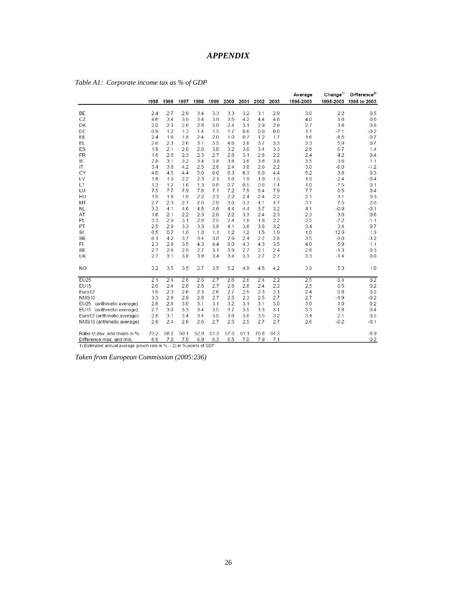## *APPENDIX*

|                             |      |      |      |      |      |      |      |      |      | Average   | Change <sup>1</sup> | Difference <sup>2)</sup> |
|-----------------------------|------|------|------|------|------|------|------|------|------|-----------|---------------------|--------------------------|
|                             | 1995 | 1996 | 1997 | 1998 | 1999 | 2000 | 2001 | 2002 | 2003 | 1995-2003 |                     | 1995-2003 1995 to 2003   |
|                             |      |      |      |      |      |      |      |      |      |           |                     |                          |
| BE                          | 2.4  | 2.7  | 2.9  | 3.4  | 3.3  | 3.3  | 3.2  | 3.1  | 2.9  | 3.0       | 2.2                 | 0.5                      |
| CZ                          | 4.6  | 3.4  | 3.9  | 3.4  | 3.9  | 3.5  | 4.2  | 4.4  | 4.6  | 4.0       | 1.6                 | 0.0                      |
| DK                          | 2.0  | 2.3  | 2.6  | 2.8  | 3.0  | 2.4  | 3.1  | 2.9  | 2.8  | 2.7       | 3.8                 | 0.8                      |
| DE                          | 0.9  | 1.2  | 1.3  | 1.4  | 1.5  | 1.7  | 0.6  | 0.6  | 0.8  | 1.1       | $-7.1$              | $-0.2$                   |
| EE                          | 2.4  | 1.6  | 1.8  | 2.4  | 2.0  | 1.0  | 0.7  | 1.2  | 1.7  | 1.6       | $-8.5$              | $-0.7$                   |
| EL                          | 2.6  | 2.3  | 2.6  | 3.1  | 3.5  | 4.6  | 3.8  | 3.7  | 3.3  | 3.3       | 5.9                 | 0.7                      |
| ES                          | 1.9  | 2.1  | 2.8  | 2.6  | 3.0  | 3.2  | 3.0  | 3.4  | 3.3  | 2.8       | 6.7                 | 1.4                      |
| <b>FR</b>                   | 1.8  | 2.0  | 2.3  | 2.3  | 2.7  | 2.8  | 3.1  | 2.6  | 2.2  | 2.4       | 4.2                 | 0.4                      |
| ΙE                          | 2.8  | 3.1  | 3.2  | 3.4  | 3.8  | 3.8  | 3.6  | 3.8  | 3.8  | 3.5       | 3.6                 | 1.1                      |
| IT                          | 3.4  | 3.8  | 4.2  | 2.5  | 2.8  | 2.4  | 3.0  | 2.6  | 2.2  | 3.0       | $-6.0$              | $-1.2$                   |
| CY                          | 4.0  | 4.5  | 4.4  | 5.0  | 6.0  | 6.3  | 6.3  | 6.0  | 4.4  | 5.2       | 3.6                 | 0.3                      |
| LV                          | 1.8  | 1.9  | 2.2  | 2.3  | 2.1  | 1.6  | 1.9  | 1.9  | 1.5  | 1.9       | $-2.4$              | $-0.4$                   |
| LT                          | 1.3  | 1.2  | 1.6  | 1.3  | 0.8  | 0.7  | 0.5  | 0.6  | 1.4  | 1.0       | $-7.5$              | 0.1                      |
| LU                          | 7.5  | 7.7  | 7.9  | 7.8  | 7.1  | 7.2  | 7.5  | 8.4  | 7.9  | 7.7       | 0.5                 | 0.4                      |
| HU                          | 1.9  | 1.8  | 1.9  | 2.2  | 2.3  | 2.2  | 2.4  | 2.4  | 2.2  | 2.1       | 3.1                 | 0.3                      |
| MT                          | 2.7  | 2.3  | 2.7  | 2.6  | 2.9  | 3.0  | 3.3  | 4.1  | 4.7  | 3.1       | 7.5                 | 2.0                      |
| <b>NL</b>                   | 3.3  | 4.1  | 4.6  | 4.5  | 4.6  | 4.4  | 4.4  | 3.7  | 3.2  | 4.1       | $-0.9$              | $-0.1$                   |
| AT                          | 1.6  | 2.1  | 2.2  | 2.3  | 2.0  | 2.2  | 3.3  | 2.4  | 2.3  | 2.3       | 3.9                 | 0.6                      |
| PL                          | 3.3  | 2.9  | 3.1  | 2.8  | 2.5  | 2.4  | 1.8  | 1.8  | 2.2  | 2.5       | $-7.2$              | $-1.1$                   |
| PT                          | 2.5  | 2.9  | 3.3  | 3.3  | 3.8  | 4.1  | 3.6  | 3.6  | 3.2  | 3.4       | 3.4                 | 0.7                      |
| SI                          | 0.5  | 0.7  | 1.0  | 1.0  | 1.1  | 1.2  | 1.2  | 1.5  | 1.9  | 1.0       | 12.9                | 1.3                      |
| SK                          | 6.1  | 4.2  | 3.7  | 3.4  | 3.0  | 2.9  | 2.4  | 2.7  | 2.8  | 3.5       | $-9.0$              | $-3.2$                   |
| FI                          | 2.3  | 2.8  | 3.5  | 4.3  | 4.4  | 6.0  | 4.3  | 4.3  | 3.5  | 4.0       | 5.9                 | 1.1                      |
| <b>SE</b>                   | 2.7  | 2.6  | 2.9  | 2.7  | 3.1  | 3.9  | 2.7  | 2.1  | 2.4  | 2.8       | $-1.3$              | $-0.3$                   |
| UK                          | 2.7  | 3.1  | 3.8  | 3.8  | 3.4  | 3.4  | 3.3  | 2.7  | 2.7  | 3.3       | $-1.4$              | 0.0                      |
| <b>NO</b>                   | 3.2  | 3.5  | 3.5  | 2.7  | 3.5  | 5.2  | 4.9  | 4.5  | 4.2  | 3.9       | 5.3                 | 1.0                      |
| EU25                        | 2.1  | 2.4  | 2.8  | 2.6  | 2.7  | 2.8  | 2.6  | 2.4  | 2.2  | 2.5       | 0.4                 | 0.2                      |
| EU15                        | 2.0  | 2.4  | 2.8  | 2.6  | 2.7  | 2.8  | 2.6  | 2.4  | 2.2  | 2.5       | 0.5                 | 0.2                      |
| Euro12                      | 1.9  | 2.3  | 2.6  | 2.3  | 2.6  | 2.7  | 2.5  | 2.3  | 2.1  | 2.4       | 0.8                 | 0.2                      |
| NMS <sub>10</sub>           | 3.3  | 2.8  | 2.9  | 2.8  | 2.7  | 2.5  | 2.3  | 2.5  | 2.7  | 2.7       | $-1.9$              | $-0.2$                   |
| EU25 (arithmetic average)   | 2.8  | 2.8  | 3.0  | 3.1  | 3.1  | 3.2  | 3.1  | 3.1  | 3.0  | 3.0       | 1.0                 | 0.2                      |
| EU15 (arithmetic average)   | 2.7  | 3.0  | 3.3  | 3.4  | 3.5  | 3.7  | 3.5  | 3.3  | 3.1  | 3.3       | 1.8                 | 0.4                      |
| Euro12 (arithmetic average) | 2.8  | 3.1  | 3.4  | 3.4  | 3.5  | 3.8  | 3.6  | 3.5  | 3.2  | 3.4       | 2.1                 | 0.5                      |
| NMS10 (arithmetic average)  | 2.9  | 2.4  | 2.6  | 2.6  | 2.7  | 2.5  | 2.5  | 2.7  | 2.7  | 2.6       | $-0.2$              | $-0.1$                   |
|                             |      |      |      |      |      |      |      |      |      |           |                     |                          |
| Ratio st.dev. and mean in % | 73.2 | 58.2 | 50.1 | 52.9 | 51.3 | 57.5 | 61.1 | 70.8 | 64.3 |           |                     | $-8.9$                   |
| Difference max. and min.    | 6.9  | 7.0  | 7.0  | 6.9  | 6.3  | 6.5  | 7.0  | 7.9  | 7.1  |           |                     | 0.2                      |

| Table A1: Corporate income tax as % of GDP |  |  |
|--------------------------------------------|--|--|
|                                            |  |  |

1) Estimated annual average growth rate in %. - 2) in %-points of GDP

*Taken from European Commission (2005:236)*